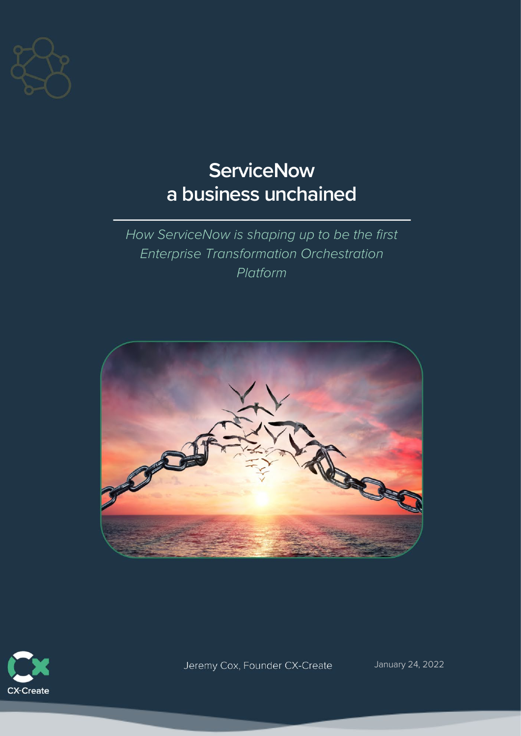

# **ServiceNow a business unchained**

*How ServiceNow is shaping up to be the first Enterprise Transformation Orchestration Platform*





Jeremy Cox, Founder CX-Create

January 24, 2022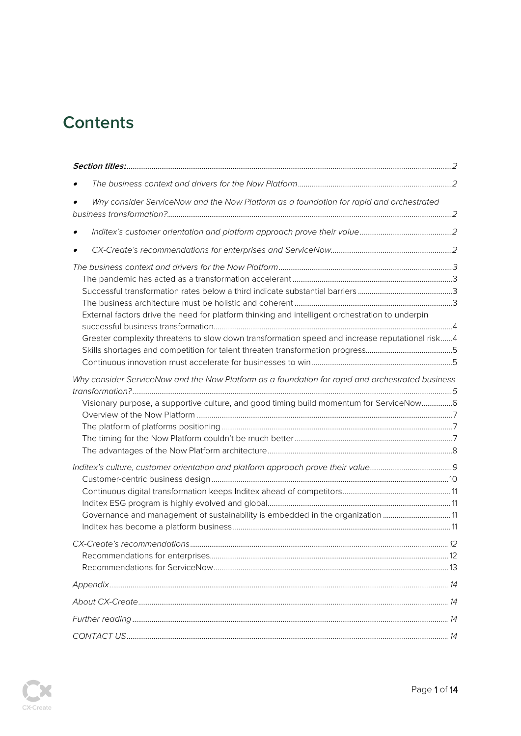# **Contents**

| Why consider ServiceNow and the Now Platform as a foundation for rapid and orchestrated                                                                                                           |  |
|---------------------------------------------------------------------------------------------------------------------------------------------------------------------------------------------------|--|
|                                                                                                                                                                                                   |  |
|                                                                                                                                                                                                   |  |
| External factors drive the need for platform thinking and intelligent orchestration to underpin<br>Greater complexity threatens to slow down transformation speed and increase reputational risk4 |  |
| Why consider ServiceNow and the Now Platform as a foundation for rapid and orchestrated business<br>Visionary purpose, a supportive culture, and good timing build momentum for ServiceNow6       |  |
| Governance and management of sustainability is embedded in the organization 11                                                                                                                    |  |
|                                                                                                                                                                                                   |  |
|                                                                                                                                                                                                   |  |
|                                                                                                                                                                                                   |  |
|                                                                                                                                                                                                   |  |
|                                                                                                                                                                                                   |  |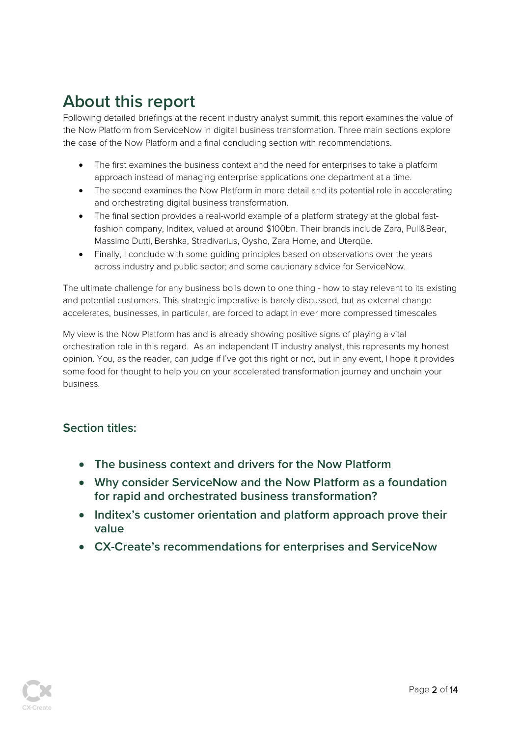# **About this report**

Following detailed briefings at the recent industry analyst summit, this report examines the value of the Now Platform from ServiceNow in digital business transformation. Three main sections explore the case of the Now Platform and a final concluding section with recommendations.

- The first examines the business context and the need for enterprises to take a platform approach instead of managing enterprise applications one department at a time.
- The second examines the Now Platform in more detail and its potential role in accelerating and orchestrating digital business transformation.
- The final section provides a real-world example of a platform strategy at the global fastfashion company, Inditex, valued at around \$100bn. Their brands include Zara, Pull&Bear, Massimo Dutti, Bershka, Stradivarius, Oysho, Zara Home, and Uterqüe.
- Finally, I conclude with some guiding principles based on observations over the years across industry and public sector; and some cautionary advice for ServiceNow.

The ultimate challenge for any business boils down to one thing - how to stay relevant to its existing and potential customers. This strategic imperative is barely discussed, but as external change accelerates, businesses, in particular, are forced to adapt in ever more compressed timescales

My view is the Now Platform has and is already showing positive signs of playing a vital orchestration role in this regard. As an independent IT industry analyst, this represents my honest opinion. You, as the reader, can judge if I've got this right or not, but in any event, I hope it provides some food for thought to help you on your accelerated transformation journey and unchain your business.

# **Section titles:**

- **The business context and drivers for the Now Platform**
- **Why consider ServiceNow and the Now Platform as a foundation for rapid and orchestrated business transformation?**
- **Inditex's customer orientation and platform approach prove their value**
- **CX-Create's recommendations for enterprises and ServiceNow**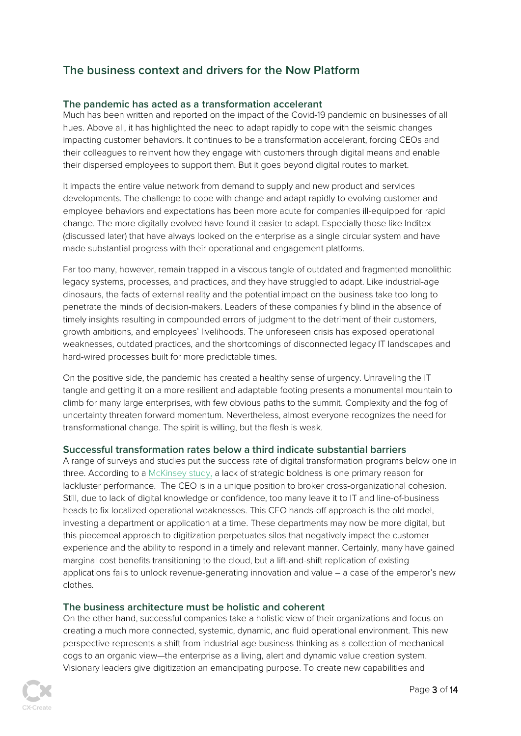# **The business context and drivers for the Now Platform**

#### **The pandemic has acted as a transformation accelerant**

Much has been written and reported on the impact of the Covid-19 pandemic on businesses of all hues. Above all, it has highlighted the need to adapt rapidly to cope with the seismic changes impacting customer behaviors. It continues to be a transformation accelerant, forcing CEOs and their colleagues to reinvent how they engage with customers through digital means and enable their dispersed employees to support them. But it goes beyond digital routes to market.

It impacts the entire value network from demand to supply and new product and services developments. The challenge to cope with change and adapt rapidly to evolving customer and employee behaviors and expectations has been more acute for companies ill-equipped for rapid change. The more digitally evolved have found it easier to adapt. Especially those like Inditex (discussed later) that have always looked on the enterprise as a single circular system and have made substantial progress with their operational and engagement platforms.

Far too many, however, remain trapped in a viscous tangle of outdated and fragmented monolithic legacy systems, processes, and practices, and they have struggled to adapt. Like industrial-age dinosaurs, the facts of external reality and the potential impact on the business take too long to penetrate the minds of decision-makers. Leaders of these companies fly blind in the absence of timely insights resulting in compounded errors of judgment to the detriment of their customers, growth ambitions, and employees' livelihoods. The unforeseen crisis has exposed operational weaknesses, outdated practices, and the shortcomings of disconnected legacy IT landscapes and hard-wired processes built for more predictable times.

On the positive side, the pandemic has created a healthy sense of urgency. Unraveling the IT tangle and getting it on a more resilient and adaptable footing presents a monumental mountain to climb for many large enterprises, with few obvious paths to the summit. Complexity and the fog of uncertainty threaten forward momentum. Nevertheless, almost everyone recognizes the need for transformational change. The spirit is willing, but the flesh is weak.

#### **Successful transformation rates below a third indicate substantial barriers**

A range of surveys and studies put the success rate of digital transformation programs below one in three. According to [a McKinsey study,](https://www.mckinsey.com/%7E/media/McKinsey/Business%20Functions/Organization/Our%20Insights/Unlocking%20success%20in%20digital%20transformations/Unlocking-success-in-digital-transformations.ashx#:%7E:text=Transformations%20are%20hard%2C%20and%20digital,less%20than%2030%20percent%20succeed.) a lack of strategic boldness is one primary reason for lackluster performance. The CEO is in a unique position to broker cross-organizational cohesion. Still, due to lack of digital knowledge or confidence, too many leave it to IT and line-of-business heads to fix localized operational weaknesses. This CEO hands-off approach is the old model, investing a department or application at a time. These departments may now be more digital, but this piecemeal approach to digitization perpetuates silos that negatively impact the customer experience and the ability to respond in a timely and relevant manner. Certainly, many have gained marginal cost benefits transitioning to the cloud, but a lift-and-shift replication of existing applications fails to unlock revenue-generating innovation and value – a case of the emperor's new clothes.

#### **The business architecture must be holistic and coherent**

On the other hand, successful companies take a holistic view of their organizations and focus on creating a much more connected, systemic, dynamic, and fluid operational environment. This new perspective represents a shift from industrial-age business thinking as a collection of mechanical cogs to an organic view—the enterprise as a living, alert and dynamic value creation system. Visionary leaders give digitization an emancipating purpose. To create new capabilities and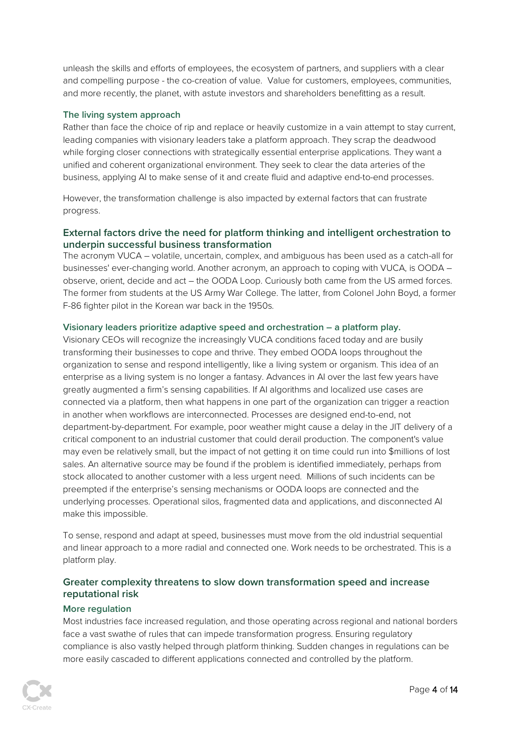unleash the skills and efforts of employees, the ecosystem of partners, and suppliers with a clear and compelling purpose - the co-creation of value. Value for customers, employees, communities, and more recently, the planet, with astute investors and shareholders benefitting as a result.

#### **The living system approach**

Rather than face the choice of rip and replace or heavily customize in a vain attempt to stay current, leading companies with visionary leaders take a platform approach. They scrap the deadwood while forging closer connections with strategically essential enterprise applications. They want a unified and coherent organizational environment. They seek to clear the data arteries of the business, applying AI to make sense of it and create fluid and adaptive end-to-end processes.

However, the transformation challenge is also impacted by external factors that can frustrate progress.

#### **External factors drive the need for platform thinking and intelligent orchestration to underpin successful business transformation**

The acronym VUCA – volatile, uncertain, complex, and ambiguous has been used as a catch-all for businesses' ever-changing world. Another acronym, an approach to coping with VUCA, is OODA – observe, orient, decide and act – the OODA Loop. Curiously both came from the US armed forces. The former from students at the US Army War College. The latter, from Colonel John Boyd, a former F-86 fighter pilot in the Korean war back in the 1950s.

#### **Visionary leaders prioritize adaptive speed and orchestration – a platform play.**

Visionary CEOs will recognize the increasingly VUCA conditions faced today and are busily transforming their businesses to cope and thrive. They embed OODA loops throughout the organization to sense and respond intelligently, like a living system or organism. This idea of an enterprise as a living system is no longer a fantasy. Advances in AI over the last few years have greatly augmented a firm's sensing capabilities. If AI algorithms and localized use cases are connected via a platform, then what happens in one part of the organization can trigger a reaction in another when workflows are interconnected. Processes are designed end-to-end, not department-by-department. For example, poor weather might cause a delay in the JIT delivery of a critical component to an industrial customer that could derail production. The component's value may even be relatively small, but the impact of not getting it on time could run into \$millions of lost sales. An alternative source may be found if the problem is identified immediately, perhaps from stock allocated to another customer with a less urgent need. Millions of such incidents can be preempted if the enterprise's sensing mechanisms or OODA loops are connected and the underlying processes. Operational silos, fragmented data and applications, and disconnected AI make this impossible.

To sense, respond and adapt at speed, businesses must move from the old industrial sequential and linear approach to a more radial and connected one. Work needs to be orchestrated. This is a platform play.

#### **Greater complexity threatens to slow down transformation speed and increase reputational risk**

#### **More regulation**

Most industries face increased regulation, and those operating across regional and national borders face a vast swathe of rules that can impede transformation progress. Ensuring regulatory compliance is also vastly helped through platform thinking. Sudden changes in regulations can be more easily cascaded to different applications connected and controlled by the platform.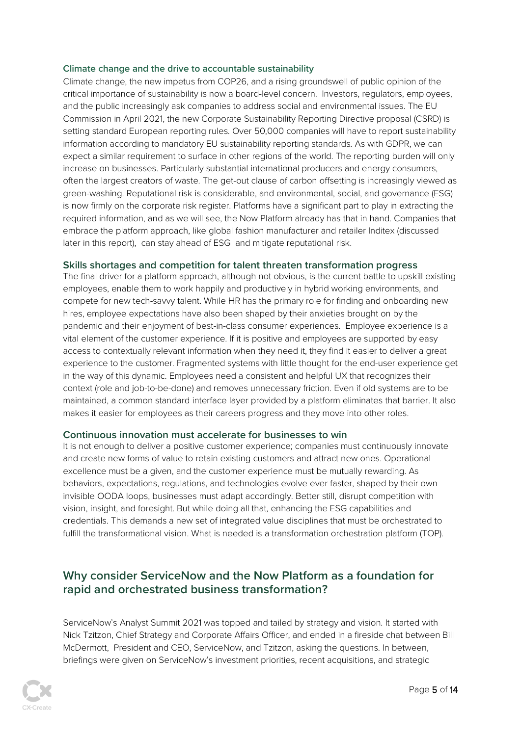#### **Climate change and the drive to accountable sustainability**

Climate change, the new impetus from COP26, and a rising groundswell of public opinion of the critical importance of sustainability is now a board-level concern. Investors, regulators, employees, and the public increasingly ask companies to address social and environmental issues. The EU Commission in April 2021, the new Corporate Sustainability Reporting Directive proposal (CSRD) is setting standard European reporting rules. Over 50,000 companies will have to report sustainability information according to mandatory EU sustainability reporting standards. As with GDPR, we can expect a similar requirement to surface in other regions of the world. The reporting burden will only increase on businesses. Particularly substantial international producers and energy consumers, often the largest creators of waste. The get-out clause of carbon offsetting is increasingly viewed as green-washing. Reputational risk is considerable, and environmental, social, and governance (ESG) is now firmly on the corporate risk register. Platforms have a significant part to play in extracting the required information, and as we will see, the Now Platform already has that in hand. Companies that embrace the platform approach, like global fashion manufacturer and retailer Inditex (discussed later in this report), can stay ahead of ESG and mitigate reputational risk.

#### **Skills shortages and competition for talent threaten transformation progress**

The final driver for a platform approach, although not obvious, is the current battle to upskill existing employees, enable them to work happily and productively in hybrid working environments, and compete for new tech-savvy talent. While HR has the primary role for finding and onboarding new hires, employee expectations have also been shaped by their anxieties brought on by the pandemic and their enjoyment of best-in-class consumer experiences. Employee experience is a vital element of the customer experience. If it is positive and employees are supported by easy access to contextually relevant information when they need it, they find it easier to deliver a great experience to the customer. Fragmented systems with little thought for the end-user experience get in the way of this dynamic. Employees need a consistent and helpful UX that recognizes their context (role and job-to-be-done) and removes unnecessary friction. Even if old systems are to be maintained, a common standard interface layer provided by a platform eliminates that barrier. It also makes it easier for employees as their careers progress and they move into other roles.

#### **Continuous innovation must accelerate for businesses to win**

It is not enough to deliver a positive customer experience; companies must continuously innovate and create new forms of value to retain existing customers and attract new ones. Operational excellence must be a given, and the customer experience must be mutually rewarding. As behaviors, expectations, regulations, and technologies evolve ever faster, shaped by their own invisible OODA loops, businesses must adapt accordingly. Better still, disrupt competition with vision, insight, and foresight. But while doing all that, enhancing the ESG capabilities and credentials. This demands a new set of integrated value disciplines that must be orchestrated to fulfill the transformational vision. What is needed is a transformation orchestration platform (TOP).

### **Why consider ServiceNow and the Now Platform as a foundation for rapid and orchestrated business transformation?**

ServiceNow's Analyst Summit 2021 was topped and tailed by strategy and vision. It started with Nick Tzitzon, Chief Strategy and Corporate Affairs Officer, and ended in a fireside chat between Bill McDermott, President and CEO, ServiceNow, and Tzitzon, asking the questions. In between, briefings were given on ServiceNow's investment priorities, recent acquisitions, and strategic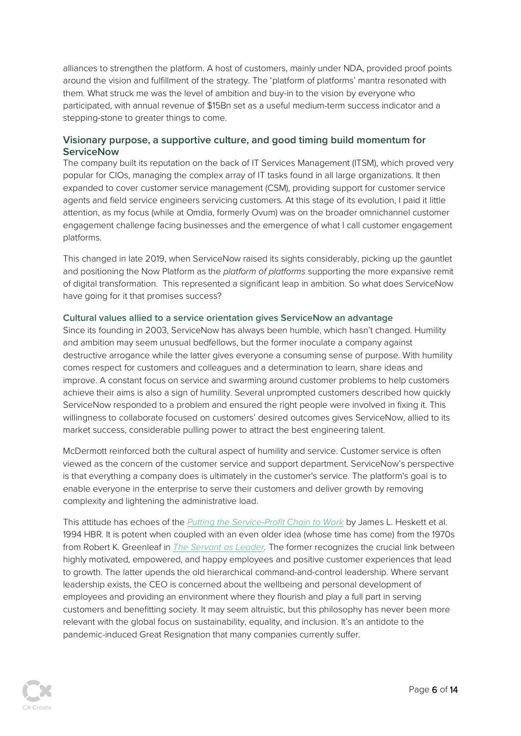alliances to strengthen the platform. A host of customers, mainly under NDA, provided proof points around the vision and fulfillment of the strategy. The 'platform of platforms' mantra resonated with them. What struck me was the level of ambition and buy-in to the vision by everyone who participated, with annual revenue of \$15Bn set as a useful medium-term success indicator and a stepping-stone to greater things to come.

#### **Visionary purpose, a supportive culture, and good timing build momentum for ServiceNow**

The company built its reputation on the back of IT Services Management (ITSM), which proved very popular for CIOs, managing the complex array of IT tasks found in all large organizations. It then expanded to cover customer service management (CSM), providing support for customer service agents and field service engineers servicing customers. At this stage of its evolution, I paid it little attention, as my focus (while at Omdia, formerly Ovum) was on the broader omnichannel customer engagement challenge facing businesses and the emergence of what I call customer engagement platforms.

This changed in late 2019, when ServiceNow raised its sights considerably, picking up the gauntlet and positioning the Now Platform as the *platform of platforms* supporting the more expansive remit of digital transformation. This represented a significant leap in ambition. So what does ServiceNow have going for it that promises success?

#### **Cultural values allied to a service orientation gives ServiceNow an advantage**

Since its founding in 2003, ServiceNow has always been humble, which hasn't changed. Humility and ambition may seem unusual bedfellows, but the former inoculate a company against destructive arrogance while the latter gives everyone a consuming sense of purpose. With humility comes respect for customers and colleagues and a determination to learn, share ideas and improve. A constant focus on service and swarming around customer problems to help customers achieve their aims is also a sign of humility. Several unprompted customers described how quickly ServiceNow responded to a problem and ensured the right people were involved in fixing it. This willingness to collaborate focused on customers' desired outcomes gives ServiceNow, allied to its market success, considerable pulling power to attract the best engineering talent.

McDermott reinforced both the cultural aspect of humility and service. Customer service is often viewed as the concern of the customer service and support department. ServiceNow's perspective is that everything a company does is ultimately in the customer's service. The platform's goal is to enable everyone in the enterprise to serve their customers and deliver growth by removing complexity and lightening the administrative load.

This attitude has echoes of the *[Putting the Service-Profit Chain to Work](http://www.lefacteurhumain.com/wp-content/uploads/2013/07/Putting_the_Service_Profit_Chain_to_Work.pdf)* by James L. Heskett et al. 1994 HBR. It is potent when coupled with an even older idea (whose time has come) from the 1970s from Robert K. Greenleaf in *[The Servant as Leader.](https://www.greenleaf.org/what-is-servant-leadership/)* The former recognizes the crucial link between highly motivated, empowered, and happy employees and positive customer experiences that lead to growth. The latter upends the old hierarchical command-and-control leadership. Where servant leadership exists, the CEO is concerned about the wellbeing and personal development of employees and providing an environment where they flourish and play a full part in serving customers and benefitting society. It may seem altruistic, but this philosophy has never been more relevant with the global focus on sustainability, equality, and inclusion. It's an antidote to the pandemic-induced Great Resignation that many companies currently suffer.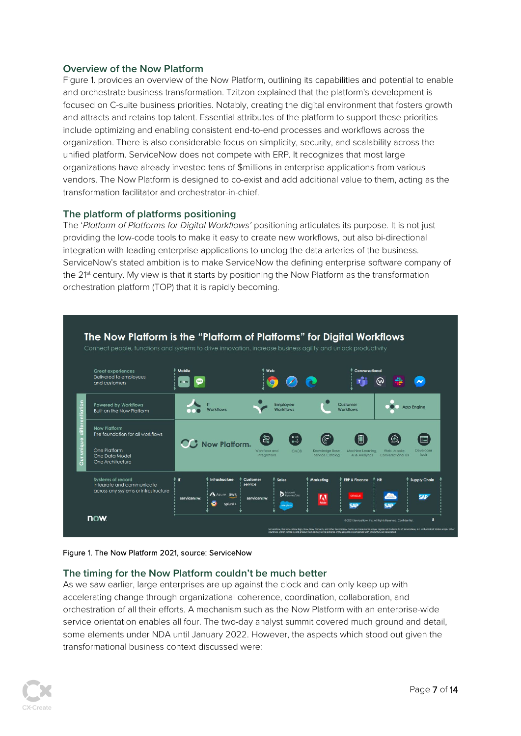#### **Overview of the Now Platform**

Figure 1. provides an overview of the Now Platform, outlining its capabilities and potential to enable and orchestrate business transformation. Tzitzon explained that the platform's development is focused on C-suite business priorities. Notably, creating the digital environment that fosters growth and attracts and retains top talent. Essential attributes of the platform to support these priorities include optimizing and enabling consistent end-to-end processes and workflows across the organization. There is also considerable focus on simplicity, security, and scalability across the unified platform. ServiceNow does not compete with ERP. It recognizes that most large organizations have already invested tens of \$millions in enterprise applications from various vendors. The Now Platform is designed to co-exist and add additional value to them, acting as the transformation facilitator and orchestrator-in-chief.

#### **The platform of platforms positioning**

The '*Platform of Platforms for Digital Workflows'* positioning articulates its purpose. It is not just providing the low-code tools to make it easy to create new workflows, but also bi-directional integration with leading enterprise applications to unclog the data arteries of the business. ServiceNow's stated ambition is to make ServiceNow the defining enterprise software company of the 21<sup>st</sup> century. My view is that it starts by positioning the Now Platform as the transformation orchestration platform (TOP) that it is rapidly becoming.



#### Figure 1. The Now Platform 2021, source: ServiceNow

#### **The timing for the Now Platform couldn't be much better**

As we saw earlier, large enterprises are up against the clock and can only keep up with accelerating change through organizational coherence, coordination, collaboration, and orchestration of all their efforts. A mechanism such as the Now Platform with an enterprise-wide service orientation enables all four. The two-day analyst summit covered much ground and detail, some elements under NDA until January 2022. However, the aspects which stood out given the transformational business context discussed were: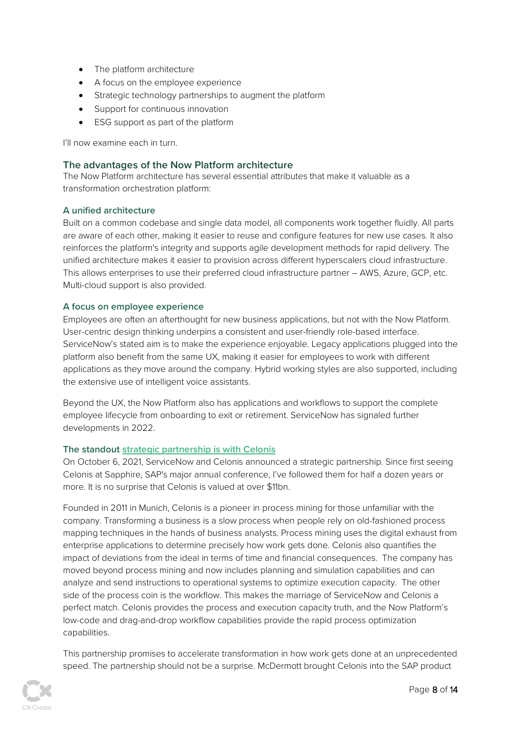- The platform architecture
- A focus on the employee experience
- Strategic technology partnerships to augment the platform
- Support for continuous innovation
- ESG support as part of the platform

I'll now examine each in turn.

#### **The advantages of the Now Platform architecture**

The Now Platform architecture has several essential attributes that make it valuable as a transformation orchestration platform:

#### **A unified architecture**

Built on a common codebase and single data model, all components work together fluidly. All parts are aware of each other, making it easier to reuse and configure features for new use cases. It also reinforces the platform's integrity and supports agile development methods for rapid delivery. The unified architecture makes it easier to provision across different hyperscalers cloud infrastructure. This allows enterprises to use their preferred cloud infrastructure partner – AWS, Azure, GCP, etc. Multi-cloud support is also provided.

#### **A focus on employee experience**

Employees are often an afterthought for new business applications, but not with the Now Platform. User-centric design thinking underpins a consistent and user-friendly role-based interface. ServiceNow's stated aim is to make the experience enjoyable. Legacy applications plugged into the platform also benefit from the same UX, making it easier for employees to work with different applications as they move around the company. Hybrid working styles are also supported, including the extensive use of intelligent voice assistants.

Beyond the UX, the Now Platform also has applications and workflows to support the complete employee lifecycle from onboarding to exit or retirement. ServiceNow has signaled further developments in 2022.

#### **The standout [strategic partnership is with Celonis](https://www.celonis.com/press/servicenow-partnership/)**

On October 6, 2021, ServiceNow and Celonis announced a strategic partnership. Since first seeing Celonis at Sapphire, SAP's major annual conference, I've followed them for half a dozen years or more. It is no surprise that Celonis is valued at over \$11bn.

Founded in 2011 in Munich, Celonis is a pioneer in process mining for those unfamiliar with the company. Transforming a business is a slow process when people rely on old-fashioned process mapping techniques in the hands of business analysts. Process mining uses the digital exhaust from enterprise applications to determine precisely how work gets done. Celonis also quantifies the impact of deviations from the ideal in terms of time and financial consequences. The company has moved beyond process mining and now includes planning and simulation capabilities and can analyze and send instructions to operational systems to optimize execution capacity. The other side of the process coin is the workflow. This makes the marriage of ServiceNow and Celonis a perfect match. Celonis provides the process and execution capacity truth, and the Now Platform's low-code and drag-and-drop workflow capabilities provide the rapid process optimization capabilities.

This partnership promises to accelerate transformation in how work gets done at an unprecedented speed. The partnership should not be a surprise. McDermott brought Celonis into the SAP product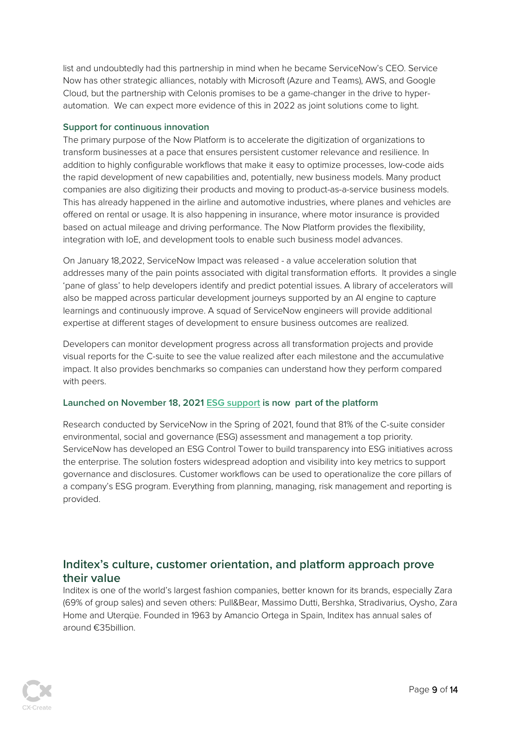list and undoubtedly had this partnership in mind when he became ServiceNow's CEO. Service Now has other strategic alliances, notably with Microsoft (Azure and Teams), AWS, and Google Cloud, but the partnership with Celonis promises to be a game-changer in the drive to hyperautomation. We can expect more evidence of this in 2022 as joint solutions come to light.

#### **Support for continuous innovation**

The primary purpose of the Now Platform is to accelerate the digitization of organizations to transform businesses at a pace that ensures persistent customer relevance and resilience. In addition to highly configurable workflows that make it easy to optimize processes, low-code aids the rapid development of new capabilities and, potentially, new business models. Many product companies are also digitizing their products and moving to product-as-a-service business models. This has already happened in the airline and automotive industries, where planes and vehicles are offered on rental or usage. It is also happening in insurance, where motor insurance is provided based on actual mileage and driving performance. The Now Platform provides the flexibility, integration with IoE, and development tools to enable such business model advances.

On January 18,2022, ServiceNow Impact was released - a value acceleration solution that addresses many of the pain points associated with digital transformation efforts. It provides a single 'pane of glass' to help developers identify and predict potential issues. A library of accelerators will also be mapped across particular development journeys supported by an AI engine to capture learnings and continuously improve. A squad of ServiceNow engineers will provide additional expertise at different stages of development to ensure business outcomes are realized.

Developers can monitor development progress across all transformation projects and provide visual reports for the C-suite to see the value realized after each milestone and the accumulative impact. It also provides benchmarks so companies can understand how they perform compared with peers.

#### **Launched on November 18, 2021 [ESG support](https://www.servicenow.com/solutions/esg-solutions.html) is now part of the platform**

Research conducted by ServiceNow in the Spring of 2021, found that 81% of the C-suite consider environmental, social and governance (ESG) assessment and management a top priority. ServiceNow has developed an ESG Control Tower to build transparency into ESG initiatives across the enterprise. The solution fosters widespread adoption and visibility into key metrics to support governance and disclosures. Customer workflows can be used to operationalize the core pillars of a company's ESG program. Everything from planning, managing, risk management and reporting is provided.

### **Inditex's culture, customer orientation, and platform approach prove their value**

Inditex is one of the world's largest fashion companies, better known for its brands, especially Zara (69% of group sales) and seven others: Pull&Bear, Massimo Dutti, Bershka, Stradivarius, Oysho, Zara Home and Uterqüe. Founded in 1963 by Amancio Ortega in Spain, Inditex has annual sales of around €35billion.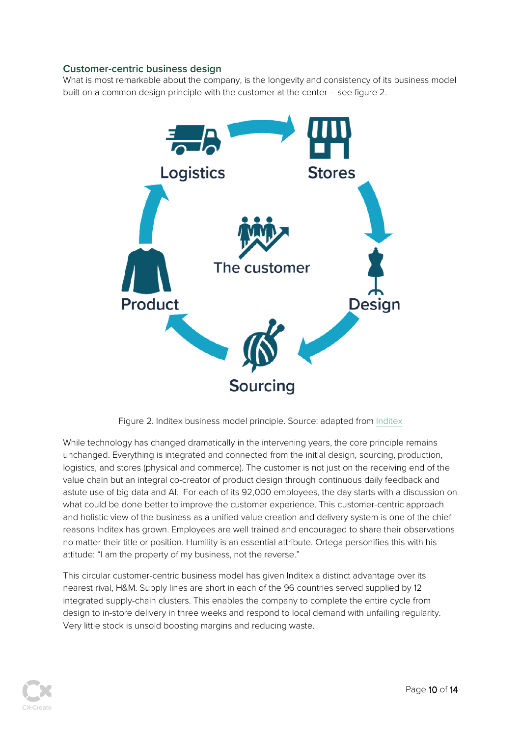#### **Customer-centric business design**

What is most remarkable about the company, is the longevity and consistency of its business model built on a common design principle with the customer at the center – see figure 2.



Figure 2. Inditex business model principle. Source: adapted fro[m Inditex](https://www.inditex.com/en/how-we-do-business/our-model)

While technology has changed dramatically in the intervening years, the core principle remains unchanged. Everything is integrated and connected from the initial design, sourcing, production, logistics, and stores (physical and commerce). The customer is not just on the receiving end of the value chain but an integral co-creator of product design through continuous daily feedback and astute use of big data and AI. For each of its 92,000 employees, the day starts with a discussion on what could be done better to improve the customer experience. This customer-centric approach and holistic view of the business as a unified value creation and delivery system is one of the chief reasons Inditex has grown. Employees are well trained and encouraged to share their observations no matter their title or position. Humility is an essential attribute. Ortega personifies this with his attitude: "I am the property of my business, not the reverse."

This circular customer-centric business model has given Inditex a distinct advantage over its nearest rival, H&M. Supply lines are short in each of the 96 countries served supplied by 12 integrated supply-chain clusters. This enables the company to complete the entire cycle from design to in-store delivery in three weeks and respond to local demand with unfailing regularity. Very little stock is unsold boosting margins and reducing waste.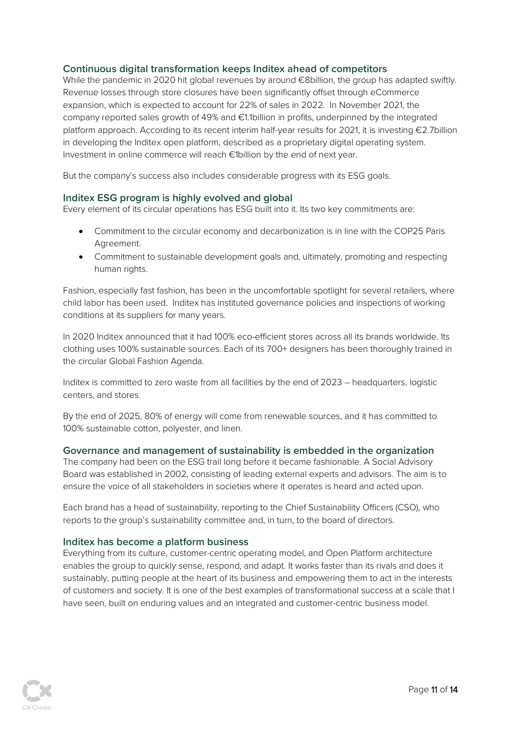#### **Continuous digital transformation keeps Inditex ahead of competitors**

While the pandemic in 2020 hit global revenues by around €8billion, the group has adapted swiftly. Revenue losses through store closures have been significantly offset through eCommerce expansion, which is expected to account for 22% of sales in 2022. In November 2021, the company reported sales growth of 49% and €1.1billion in profits, underpinned by the integrated platform approach. According to its recent interim half-year results for 2021, it is investing €2.7billion in developing the Inditex open platform, described as a proprietary digital operating system. Investment in online commerce will reach €1billion by the end of next year.

But the company's success also includes considerable progress with its ESG goals.

#### **Inditex ESG program is highly evolved and global**

Every element of its circular operations has ESG built into it. Its two key commitments are:

- Commitment to the circular economy and decarbonization is in line with the COP25 Paris Agreement.
- Commitment to sustainable development goals and, ultimately, promoting and respecting human rights.

Fashion, especially fast fashion, has been in the uncomfortable spotlight for several retailers, where child labor has been used. Inditex has instituted governance policies and inspections of working conditions at its suppliers for many years.

In 2020 Inditex announced that it had 100% eco-efficient stores across all its brands worldwide. Its clothing uses 100% sustainable sources. Each of its 700+ designers has been thoroughly trained in the circular Global Fashion Agenda.

Inditex is committed to zero waste from all facilities by the end of 2023 – headquarters, logistic centers, and stores.

By the end of 2025, 80% of energy will come from renewable sources, and it has committed to 100% sustainable cotton, polyester, and linen.

#### **Governance and management of sustainability is embedded in the organization**

The company had been on the ESG trail long before it became fashionable. A Social Advisory Board was established in 2002, consisting of leading external experts and advisors. The aim is to ensure the voice of all stakeholders in societies where it operates is heard and acted upon.

Each brand has a head of sustainability, reporting to the Chief Sustainability Officers (CSO), who reports to the group's sustainability committee and, in turn, to the board of directors.

#### **Inditex has become a platform business**

Everything from its culture, customer-centric operating model, and Open Platform architecture enables the group to quickly sense, respond, and adapt. It works faster than its rivals and does it sustainably, putting people at the heart of its business and empowering them to act in the interests of customers and society. It is one of the best examples of transformational success at a scale that I have seen, built on enduring values and an integrated and customer-centric business model.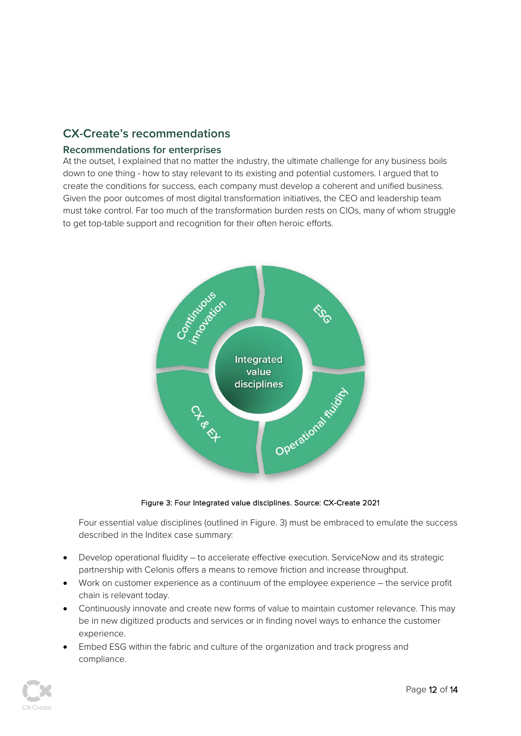# **CX-Create's recommendations**

#### **Recommendations for enterprises**

At the outset, I explained that no matter the industry, the ultimate challenge for any business boils down to one thing - how to stay relevant to its existing and potential customers. I argued that to create the conditions for success, each company must develop a coherent and unified business. Given the poor outcomes of most digital transformation initiatives, the CEO and leadership team must take control. Far too much of the transformation burden rests on CIOs, many of whom struggle to get top-table support and recognition for their often heroic efforts.



#### Figure 3: Four Integrated value disciplines. Source: CX-Create 2021

Four essential value disciplines (outlined in Figure. 3) must be embraced to emulate the success described in the Inditex case summary:

- Develop operational fluidity to accelerate effective execution. ServiceNow and its strategic partnership with Celonis offers a means to remove friction and increase throughput.
- Work on customer experience as a continuum of the employee experience the service profit chain is relevant today.
- Continuously innovate and create new forms of value to maintain customer relevance. This may be in new digitized products and services or in finding novel ways to enhance the customer experience.
- Embed ESG within the fabric and culture of the organization and track progress and compliance.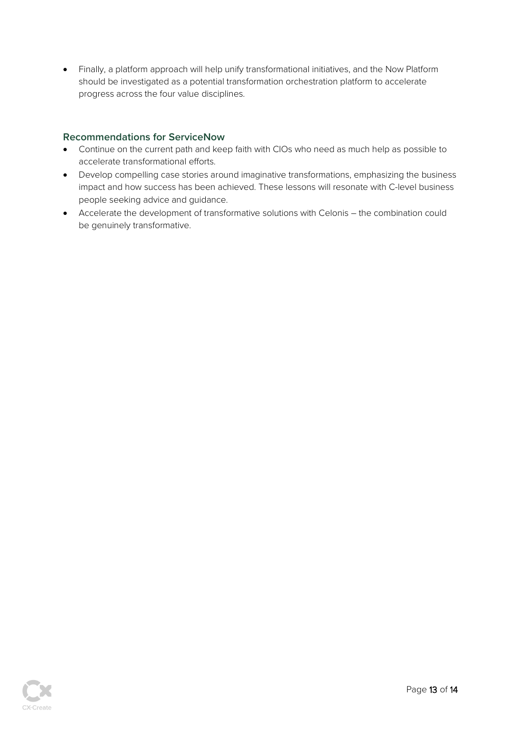• Finally, a platform approach will help unify transformational initiatives, and the Now Platform should be investigated as a potential transformation orchestration platform to accelerate progress across the four value disciplines.

#### **Recommendations for ServiceNow**

- Continue on the current path and keep faith with CIOs who need as much help as possible to accelerate transformational efforts.
- Develop compelling case stories around imaginative transformations, emphasizing the business impact and how success has been achieved. These lessons will resonate with C-level business people seeking advice and guidance.
- Accelerate the development of transformative solutions with Celonis the combination could be genuinely transformative.